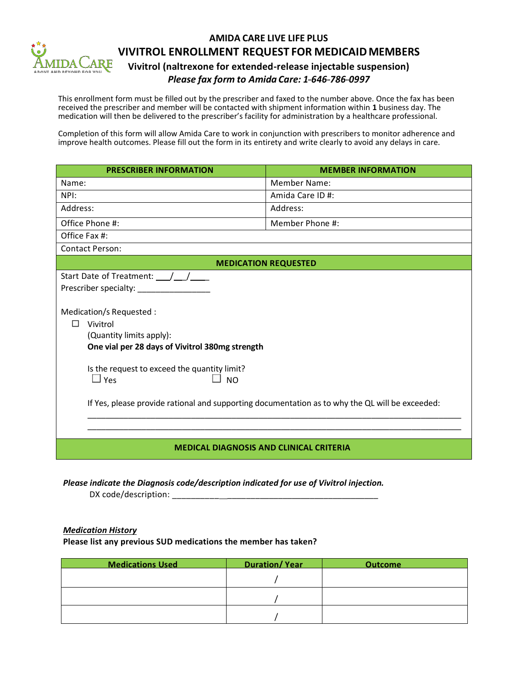

## **AMIDA CARE LIVE LIFE PLUS VIVITROL ENROLLMENT REQUEST FOR MEDICAIDMEMBERS Vivitrol (naltrexone for extended-release injectable suspension)**

*Please fax form to Amida Care: 1---646---786---0997*

This enrollment form must be filled out by the prescriber and faxed to the number above. Once the fax has been received the prescriber and member will be contacted with shipment information within **1** business day. The medication will then be delivered to the prescriber's facility for administration by a healthcare professional.

Completion of this form will allow Amida Care to work in conjunction with prescribers to monitor adherence and improve health outcomes. Please fill out the form in its entirety and write clearly to avoid any delays in care.

| <b>PRESCRIBER INFORMATION</b>                                                                   | <b>MEMBER INFORMATION</b> |  |  |
|-------------------------------------------------------------------------------------------------|---------------------------|--|--|
| Name:                                                                                           | <b>Member Name:</b>       |  |  |
| NPI:                                                                                            | Amida Care ID#:           |  |  |
| Address:                                                                                        | Address:                  |  |  |
| Office Phone #:                                                                                 | Member Phone #:           |  |  |
| Office Fax #:                                                                                   |                           |  |  |
| <b>Contact Person:</b>                                                                          |                           |  |  |
| <b>MEDICATION REQUESTED</b>                                                                     |                           |  |  |
| Start Date of Treatment: $\frac{1}{\sqrt{1-\frac{1}{2}}}$                                       |                           |  |  |
|                                                                                                 |                           |  |  |
|                                                                                                 |                           |  |  |
| Medication/s Requested :                                                                        |                           |  |  |
| П<br>Vivitrol                                                                                   |                           |  |  |
| (Quantity limits apply):                                                                        |                           |  |  |
| One vial per 28 days of Vivitrol 380mg strength                                                 |                           |  |  |
|                                                                                                 |                           |  |  |
| Is the request to exceed the quantity limit?<br>$\square$ Yes<br><b>NO</b>                      |                           |  |  |
|                                                                                                 |                           |  |  |
| If Yes, please provide rational and supporting documentation as to why the QL will be exceeded: |                           |  |  |
|                                                                                                 |                           |  |  |
| <b>MEDICAL DIAGNOSIS AND CLINICAL CRITERIA</b>                                                  |                           |  |  |

*Please indicate the Diagnosis code/description indicated for use of Vivitrol injection.* 

DX code/description: \_\_\_\_\_\_\_\_\_\_ \_\_\_\_\_\_\_\_\_\_\_\_\_\_\_\_\_\_\_\_\_\_\_\_\_\_\_\_\_\_\_\_\_

## *Medication History*

**Please list any previous SUD medications the member has taken?** 

| <b>Medications Used</b> | <b>Duration/Year</b> | <b>Outcome</b> |
|-------------------------|----------------------|----------------|
|                         |                      |                |
|                         |                      |                |
|                         |                      |                |